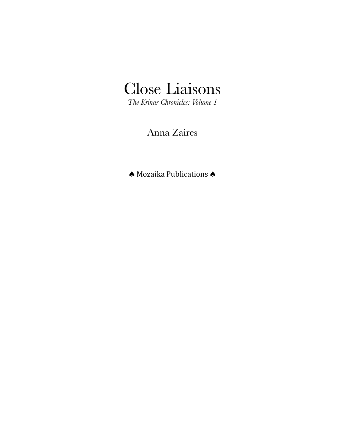### Close Liaisons

*The Krinar Chronicles: Volume 1*

Anna Zaires

◆ Mozaika Publications ◆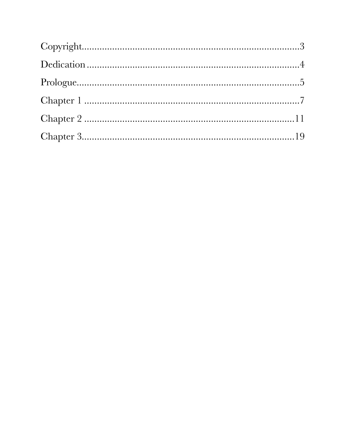| $Prologue5$ |  |
|-------------|--|
|             |  |
|             |  |
|             |  |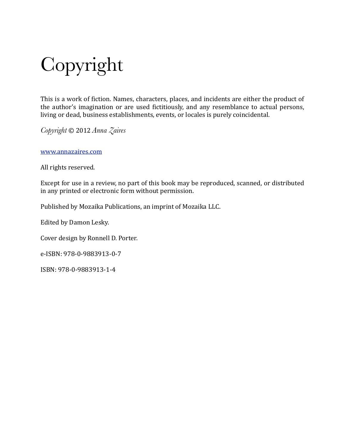# <span id="page-2-0"></span>Copyright

This is a work of fiction. Names, characters, places, and incidents are either the product of the author's imagination or are used fictitiously, and any resemblance to actual persons, living or dead, business establishments, events, or locales is purely coincidental.

*Copyright* © 2012 *Anna Zaires*

[www.annazaires.com](http://www.annazaires.com)

All rights reserved.

Except for use in a review, no part of this book may be reproduced, scanned, or distributed in any printed or electronic form without permission.

Published by Mozaika Publications, an imprint of Mozaika LLC.

Edited by Damon Lesky.

Cover design by Ronnell D. Porter.

e-ISBN: 978-0-9883913-0-7 

ISBN: 978-0-9883913-1-4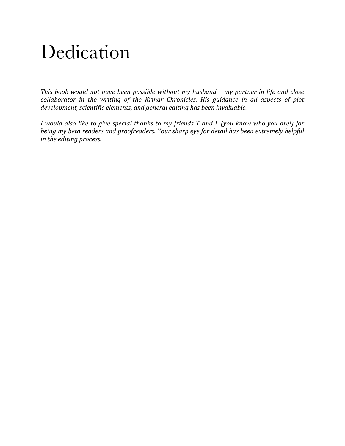## <span id="page-3-0"></span>Dedication

This book would not have been possible without my husband - my partner in life and close *collaborator in the writing of the Krinar Chronicles. His guidance in all aspects of plot* development, scientific elements, and general editing has been invaluable.

*I* would also like to give special thanks to my friends T and L (you know who you are!) for *being* my beta readers and proofreaders. Your sharp eye for detail has been extremely helpful *in the editing process.*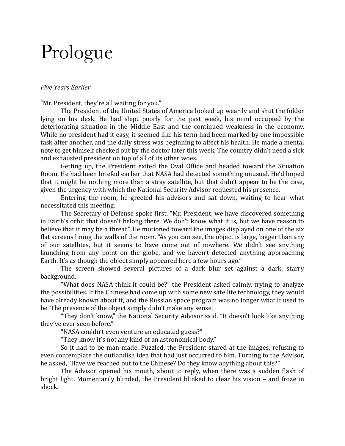### <span id="page-4-0"></span>Prologue

#### *Five Years Earlier*

"Mr. President, they're all waiting for you."

The President of the United States of America looked up wearily and shut the folder lying on his desk. He had slept poorly for the past week, his mind occupied by the deteriorating situation in the Middle East and the continued weakness in the economy. While no president had it easy, it seemed like his term had been marked by one impossible task after another, and the daily stress was beginning to affect his health. He made a mental note to get himself checked out by the doctor later this week. The country didn't need a sick and exhausted president on top of all of its other woes.

Getting up, the President exited the Oval Office and headed toward the Situation Room. He had been briefed earlier that NASA had detected something unusual. He'd hoped that it might be nothing more than a stray satellite, but that didn't appear to be the case, given the urgency with which the National Security Advisor requested his presence.

Entering the room, he greeted his advisors and sat down, waiting to hear what necessitated this meeting.

The Secretary of Defense spoke first. "Mr. President, we have discovered something in Earth's orbit that doesn't belong there. We don't know what it is, but we have reason to believe that it may be a threat." He motioned toward the images displayed on one of the six flat screens lining the walls of the room. "As you can see, the object is large, bigger than any of our satellites, but it seems to have come out of nowhere. We didn't see anything launching from any point on the globe, and we haven't detected anything approaching Earth. It's as though the object simply appeared here a few hours ago."

The screen showed several pictures of a dark blur set against a dark, starry background.

"What does NASA think it could be?" the President asked calmly, trying to analyze the possibilities. If the Chinese had come up with some new satellite technology, they would have already known about it, and the Russian space program was no longer what it used to be. The presence of the object simply didn't make any sense.

"They don't know," the National Security Advisor said. "It doesn't look like anything they've ever seen before."

"NASA couldn't even venture an educated guess?"

"They know it's not any kind of an astronomical body."

So it had to be man-made. Puzzled, the President stared at the images, refusing to even contemplate the outlandish idea that had just occurred to him. Turning to the Advisor, he asked, "Have we reached out to the Chinese? Do they know anything about this?"

The Advisor opened his mouth, about to reply, when there was a sudden flash of bright light. Momentarily blinded, the President blinked to clear his vision – and froze in shock.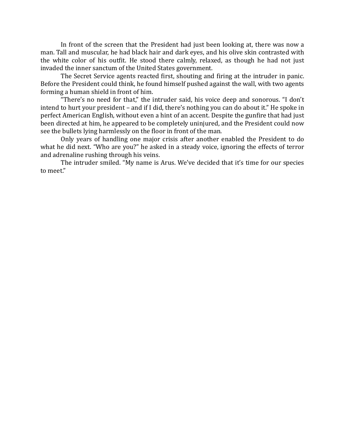In front of the screen that the President had just been looking at, there was now a man. Tall and muscular, he had black hair and dark eyes, and his olive skin contrasted with the white color of his outfit. He stood there calmly, relaxed, as though he had not just invaded the inner sanctum of the United States government.

The Secret Service agents reacted first, shouting and firing at the intruder in panic. Before the President could think, he found himself pushed against the wall, with two agents forming a human shield in front of him.

"There's no need for that," the intruder said, his voice deep and sonorous. "I don't intend to hurt your president – and if I did, there's nothing you can do about it." He spoke in perfect American English, without even a hint of an accent. Despite the gunfire that had just been directed at him, he appeared to be completely uninjured, and the President could now see the bullets lying harmlessly on the floor in front of the man.

Only years of handling one major crisis after another enabled the President to do what he did next. "Who are you?" he asked in a steady voice, ignoring the effects of terror and adrenaline rushing through his veins.

The intruder smiled. "My name is Arus. We've decided that it's time for our species to meet."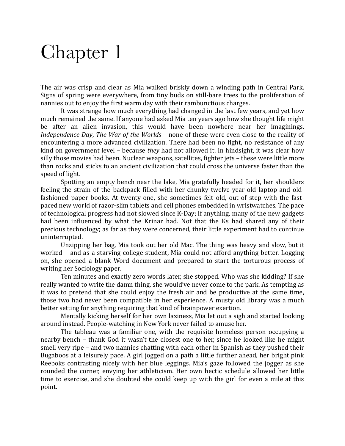### <span id="page-6-0"></span>Chapter 1

The air was crisp and clear as Mia walked briskly down a winding path in Central Park. Signs of spring were everywhere, from tiny buds on still-bare trees to the proliferation of nannies out to enjoy the first warm day with their rambunctious charges.

It was strange how much everything had changed in the last few years, and yet how much remained the same. If anyone had asked Mia ten years ago how she thought life might be after an alien invasion, this would have been nowhere near her imaginings. *Independence Day, The War of the Worlds* – none of these were even close to the reality of encountering a more advanced civilization. There had been no fight, no resistance of any kind on government level – because *they* had not allowed it. In hindsight, it was clear how silly those movies had been. Nuclear weapons, satellites, fighter jets – these were little more than rocks and sticks to an ancient civilization that could cross the universe faster than the speed of light.

Spotting an empty bench near the lake, Mia gratefully headed for it, her shoulders feeling the strain of the backpack filled with her chunky twelve-year-old laptop and oldfashioned paper books. At twenty-one, she sometimes felt old, out of step with the fastpaced new world of razor-slim tablets and cell phones embedded in wristwatches. The pace of technological progress had not slowed since K-Day; if anything, many of the new gadgets had been influenced by what the Krinar had. Not that the Ks had shared any of their precious technology; as far as they were concerned, their little experiment had to continue uninterrupted.

Unzipping her bag, Mia took out her old Mac. The thing was heavy and slow, but it worked – and as a starving college student, Mia could not afford anything better. Logging on, she opened a blank Word document and prepared to start the torturous process of writing her Sociology paper.

Ten minutes and exactly zero words later, she stopped. Who was she kidding? If she really wanted to write the damn thing, she would've never come to the park. As tempting as it was to pretend that she could enjoy the fresh air and be productive at the same time, those two had never been compatible in her experience. A musty old library was a much better setting for anything requiring that kind of brainpower exertion.

Mentally kicking herself for her own laziness, Mia let out a sigh and started looking around instead. People-watching in New York never failed to amuse her.

The tableau was a familiar one, with the requisite homeless person occupying a nearby bench – thank God it wasn't the closest one to her, since he looked like he might smell very ripe – and two nannies chatting with each other in Spanish as they pushed their Bugaboos at a leisurely pace. A girl jogged on a path a little further ahead, her bright pink Reeboks contrasting nicely with her blue leggings. Mia's gaze followed the jogger as she rounded the corner, envying her athleticism. Her own hectic schedule allowed her little time to exercise, and she doubted she could keep up with the girl for even a mile at this point.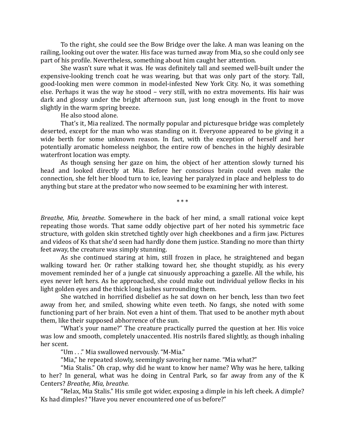To the right, she could see the Bow Bridge over the lake. A man was leaning on the railing, looking out over the water. His face was turned away from Mia, so she could only see part of his profile. Nevertheless, something about him caught her attention.

She wasn't sure what it was. He was definitely tall and seemed well-built under the expensive-looking trench coat he was wearing, but that was only part of the story. Tall, good-looking men were common in model-infested New York City. No, it was something else. Perhaps it was the way he stood – very still, with no extra movements. His hair was dark and glossy under the bright afternoon sun, just long enough in the front to move slightly in the warm spring breeze.

He also stood alone.

That's it, Mia realized. The normally popular and picturesque bridge was completely deserted, except for the man who was standing on it. Everyone appeared to be giving it a wide berth for some unknown reason. In fact, with the exception of herself and her potentially aromatic homeless neighbor, the entire row of benches in the highly desirable waterfront location was empty.

As though sensing her gaze on him, the object of her attention slowly turned his head and looked directly at Mia. Before her conscious brain could even make the connection, she felt her blood turn to ice, leaving her paralyzed in place and helpless to do anything but stare at the predator who now seemed to be examining her with interest.

\* \* \*

*Breathe, Mia, breathe.* Somewhere in the back of her mind, a small rational voice kept repeating those words. That same oddly objective part of her noted his symmetric face structure, with golden skin stretched tightly over high cheekbones and a firm jaw. Pictures and videos of Ks that she'd seen had hardly done them justice. Standing no more than thirty feet away, the creature was simply stunning.

As she continued staring at him, still frozen in place, he straightened and began walking toward her. Or rather stalking toward her, she thought stupidly, as his every movement reminded her of a jungle cat sinuously approaching a gazelle. All the while, his eyes never left hers. As he approached, she could make out individual yellow flecks in his light golden eves and the thick long lashes surrounding them.

She watched in horrified disbelief as he sat down on her bench, less than two feet away from her, and smiled, showing white even teeth. No fangs, she noted with some functioning part of her brain. Not even a hint of them. That used to be another myth about them, like their supposed abhorrence of the sun.

"What's your name?" The creature practically purred the question at her. His voice was low and smooth, completely unaccented. His nostrils flared slightly, as though inhaling her scent.

"Um . . ." Mia swallowed nervously. "M-Mia."

"Mia," he repeated slowly, seemingly savoring her name. "Mia what?"

"Mia Stalis." Oh crap, why did he want to know her name? Why was he here, talking to her? In general, what was he doing in Central Park, so far away from any of the K Centers? *Breathe, Mia, breathe.*

"Relax, Mia Stalis." His smile got wider, exposing a dimple in his left cheek. A dimple? Ks had dimples? "Have you never encountered one of us before?"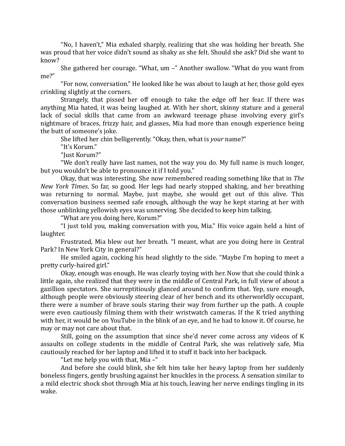"No, I haven't," Mia exhaled sharply, realizing that she was holding her breath. She was proud that her voice didn't sound as shaky as she felt. Should she ask? Did she want to know?

She gathered her courage. "What, um -" Another swallow. "What do you want from me?"

"For now, conversation." He looked like he was about to laugh at her, those gold eyes crinkling slightly at the corners.

Strangely, that pissed her off enough to take the edge off her fear. If there was anything Mia hated, it was being laughed at. With her short, skinny stature and a general lack of social skills that came from an awkward teenage phase involving every girl's nightmare of braces, frizzy hair, and glasses, Mia had more than enough experience being the butt of someone's joke.

She lifted her chin belligerently. "Okay, then, what is *your* name?"

"It's Korum."

"Just Korum?"

"We don't really have last names, not the way you do. My full name is much longer, but you wouldn't be able to pronounce it if I told you."

Okay, that was interesting. She now remembered reading something like that in *The New York Times.* So far, so good. Her legs had nearly stopped shaking, and her breathing was returning to normal. Maybe, just maybe, she would get out of this alive. This conversation business seemed safe enough, although the way he kept staring at her with those unblinking yellowish eyes was unnerving. She decided to keep him talking.

"What are you doing here, Korum?"

"I just told you, making conversation with you, Mia." His voice again held a hint of laughter.

Frustrated, Mia blew out her breath. "I meant, what are you doing here in Central Park? In New York City in general?"

He smiled again, cocking his head slightly to the side. "Maybe I'm hoping to meet a pretty curly-haired girl."

Okay, enough was enough. He was clearly toying with her. Now that she could think a little again, she realized that they were in the middle of Central Park, in full view of about a gazillion spectators. She surreptitiously glanced around to confirm that. Yep, sure enough, although people were obviously steering clear of her bench and its otherworldly occupant, there were a number of brave souls staring their way from further up the path. A couple were even cautiously filming them with their wristwatch cameras. If the K tried anything with her, it would be on YouTube in the blink of an eye, and he had to know it. Of course, he may or may not care about that.

Still, going on the assumption that since she'd never come across any videos of K assaults on college students in the middle of Central Park, she was relatively safe, Mia cautiously reached for her laptop and lifted it to stuff it back into her backpack.

"Let me help you with that, Mia  $-$ "

And before she could blink, she felt him take her heavy laptop from her suddenly boneless fingers, gently brushing against her knuckles in the process. A sensation similar to a mild electric shock shot through Mia at his touch, leaving her nerve endings tingling in its wake.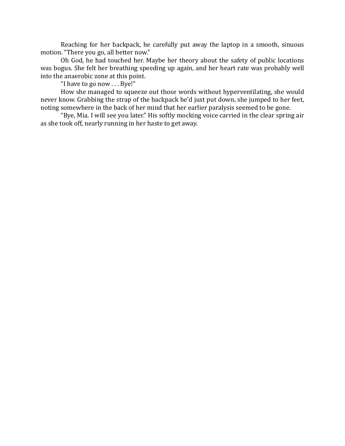Reaching for her backpack, he carefully put away the laptop in a smooth, sinuous motion. "There you go, all better now."

Oh God, he had touched her. Maybe her theory about the safety of public locations was bogus. She felt her breathing speeding up again, and her heart rate was probably well into the anaerobic zone at this point.

"I have to go now  $\dots$  Bye!"

How she managed to squeeze out those words without hyperventilating, she would never know. Grabbing the strap of the backpack he'd just put down, she jumped to her feet, noting somewhere in the back of her mind that her earlier paralysis seemed to be gone.

"Bye, Mia. I will see you later." His softly mocking voice carried in the clear spring air as she took off, nearly running in her haste to get away.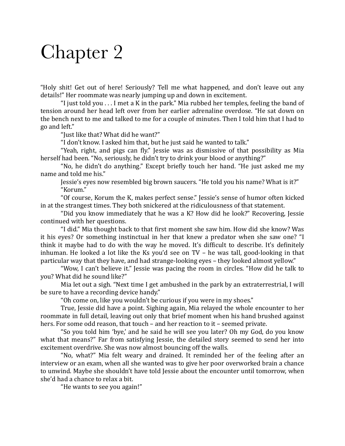### <span id="page-10-0"></span>Chapter 2

"Holy shit! Get out of here! Seriously? Tell me what happened, and don't leave out any details!" Her roommate was nearly jumping up and down in excitement.

"I just told you  $\dots$  I met a K in the park." Mia rubbed her temples, feeling the band of tension around her head left over from her earlier adrenaline overdose. "He sat down on the bench next to me and talked to me for a couple of minutes. Then I told him that I had to go and left." 

"Just like that? What did he want?"

"I don't know. I asked him that, but he just said he wanted to talk."

"Yeah, right, and pigs can fly." Jessie was as dismissive of that possibility as Mia herself had been. "No, seriously, he didn't try to drink your blood or anything?"

"No, he didn't do anything." Except briefly touch her hand. "He just asked me my name and told me his."

Jessie's eyes now resembled big brown saucers. "He told you his name? What is it?" "Korum."

"Of course, Korum the K, makes perfect sense." Jessie's sense of humor often kicked in at the strangest times. They both snickered at the ridiculousness of that statement.

"Did you know immediately that he was a K? How did he look?" Recovering, Jessie continued with her questions.

"I did." Mia thought back to that first moment she saw him. How did she know? Was it his eyes? Or something instinctual in her that knew a predator when she saw one? "I think it maybe had to do with the way he moved. It's difficult to describe. It's definitely inhuman. He looked a lot like the Ks you'd see on  $TV$  – he was tall, good-looking in that particular way that they have, and had strange-looking eyes – they looked almost yellow."

"Wow, I can't believe it." Jessie was pacing the room in circles. "How did he talk to vou? What did he sound like?"

Mia let out a sigh. "Next time I get ambushed in the park by an extraterrestrial, I will be sure to have a recording device handy."

"Oh come on, like you wouldn't be curious if you were in my shoes."

True, Jessie did have a point. Sighing again, Mia relayed the whole encounter to her roommate in full detail, leaving out only that brief moment when his hand brushed against hers. For some odd reason, that touch – and her reaction to it – seemed private.

"So you told him 'bye,' and he said he will see you later? Oh my God, do you know what that means?" Far from satisfying Jessie, the detailed story seemed to send her into excitement overdrive. She was now almost bouncing off the walls.

"No, what?" Mia felt weary and drained. It reminded her of the feeling after an interview or an exam, when all she wanted was to give her poor overworked brain a chance to unwind. Maybe she shouldn't have told Jessie about the encounter until tomorrow, when she'd had a chance to relax a bit.

"He wants to see you again!"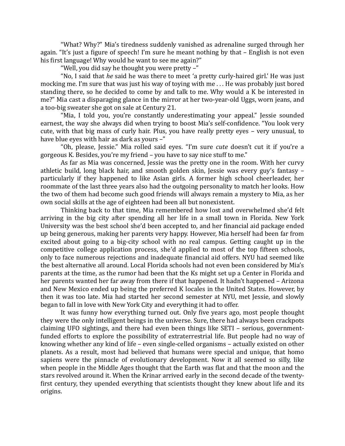"What? Why?" Mia's tiredness suddenly vanished as adrenaline surged through her again. "It's just a figure of speech! I'm sure he meant nothing by that – English is not even his first language! Why would he want to see me again?"

"Well, you did say he thought you were pretty  $-$ "

"No, I said that *he* said he was there to meet 'a pretty curly-haired girl.' He was just mocking me. I'm sure that was just his way of toying with me  $\dots$  He was probably just bored standing there, so he decided to come by and talk to me. Why would a K be interested in me?" Mia cast a disparaging glance in the mirror at her two-year-old Uggs, worn jeans, and a too-big sweater she got on sale at Century 21.

"Mia, I told you, you're constantly underestimating your appeal." Jessie sounded earnest, the way she always did when trying to boost Mia's self-confidence. "You look very cute, with that big mass of curly hair. Plus, you have really pretty eyes – very unusual, to have blue eyes with hair as dark as yours -"

"Oh, please, Jessie." Mia rolled said eyes. "I'm sure *cute* doesn't cut it if you're a gorgeous K. Besides, you're my friend - you have to say nice stuff to me."

As far as Mia was concerned, Jessie was the pretty one in the room. With her curvy athletic build, long black hair, and smooth golden skin, Jessie was every guy's fantasy – particularly if they happened to like Asian girls. A former high school cheerleader, her roommate of the last three years also had the outgoing personality to match her looks. How the two of them had become such good friends will always remain a mystery to Mia, as her own social skills at the age of eighteen had been all but nonexistent.

Thinking back to that time, Mia remembered how lost and overwhelmed she'd felt arriving in the big city after spending all her life in a small town in Florida. New York University was the best school she'd been accepted to, and her financial aid package ended up being generous, making her parents very happy. However, Mia herself had been far from excited about going to a big-city school with no real campus. Getting caught up in the competitive college application process, she'd applied to most of the top fifteen schools, only to face numerous rejections and inadequate financial aid offers. NYU had seemed like the best alternative all around. Local Florida schools had not even been considered by Mia's parents at the time, as the rumor had been that the Ks might set up a Center in Florida and her parents wanted her far away from there if that happened. It hadn't happened – Arizona and New Mexico ended up being the preferred K locales in the United States. However, by then it was too late. Mia had started her second semester at NYU, met Jessie, and slowly began to fall in love with New York City and everything it had to offer.

It was funny how everything turned out. Only five years ago, most people thought they were the only intelligent beings in the universe. Sure, there had always been crackpots claiming UFO sightings, and there had even been things like SETI – serious, governmentfunded efforts to explore the possibility of extraterrestrial life. But people had no way of knowing whether any kind of life – even single-celled organisms – actually existed on other planets. As a result, most had believed that humans were special and unique, that homo sapiens were the pinnacle of evolutionary development. Now it all seemed so silly, like when people in the Middle Ages thought that the Earth was flat and that the moon and the stars revolved around it. When the Krinar arrived early in the second decade of the twentyfirst century, they upended everything that scientists thought they knew about life and its origins.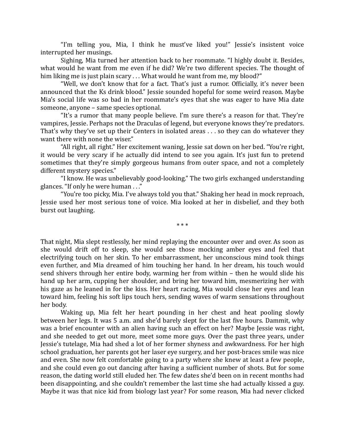"I'm telling you, Mia, I think he must've liked you!" Jessie's insistent voice interrupted her musings.

Sighing, Mia turned her attention back to her roommate. "I highly doubt it. Besides, what would he want from me even if he did? We're two different species. The thought of him liking me is just plain scary  $\dots$  What would he want from me, my blood?"

"Well, we don't know that for a fact. That's just a rumor. Officially, it's never been announced that the Ks drink blood." Jessie sounded hopeful for some weird reason. Maybe Mia's social life was so bad in her roommate's eves that she was eager to have Mia date someone, anyone – same species optional.

"It's a rumor that many people believe. I'm sure there's a reason for that. They're vampires, Jessie. Perhaps not the Draculas of legend, but everyone knows they're predators. That's why they've set up their Centers in isolated areas  $\dots$  so they can do whatever they want there with none the wiser."

"All right, all right." Her excitement waning, Jessie sat down on her bed. "You're right, it would be very scary if he actually did intend to see you again. It's just fun to pretend sometimes that they're simply gorgeous humans from outer space, and not a completely different mystery species."

"I know. He was unbelievably good-looking." The two girls exchanged understanding glances. "If only he were human . .."

"You're too picky, Mia. I've always told you that." Shaking her head in mock reproach, Jessie used her most serious tone of voice. Mia looked at her in disbelief, and they both burst out laughing.

\* \* \*

That night, Mia slept restlessly, her mind replaying the encounter over and over. As soon as she would drift off to sleep, she would see those mocking amber eyes and feel that electrifying touch on her skin. To her embarrassment, her unconscious mind took things even further, and Mia dreamed of him touching her hand. In her dream, his touch would send shivers through her entire body, warming her from within – then he would slide his hand up her arm, cupping her shoulder, and bring her toward him, mesmerizing her with his gaze as he leaned in for the kiss. Her heart racing, Mia would close her eyes and lean toward him, feeling his soft lips touch hers, sending waves of warm sensations throughout her body.

Waking up, Mia felt her heart pounding in her chest and heat pooling slowly between her legs. It was 5 a.m. and she'd barely slept for the last five hours. Dammit, why was a brief encounter with an alien having such an effect on her? Maybe Jessie was right, and she needed to get out more, meet some more guys. Over the past three years, under Jessie's tutelage, Mia had shed a lot of her former shyness and awkwardness. For her high school graduation, her parents got her laser eye surgery, and her post-braces smile was nice and even. She now felt comfortable going to a party where she knew at least a few people, and she could even go out dancing after having a sufficient number of shots. But for some reason, the dating world still eluded her. The few dates she'd been on in recent months had been disappointing, and she couldn't remember the last time she had actually kissed a guy. Maybe it was that nice kid from biology last year? For some reason, Mia had never clicked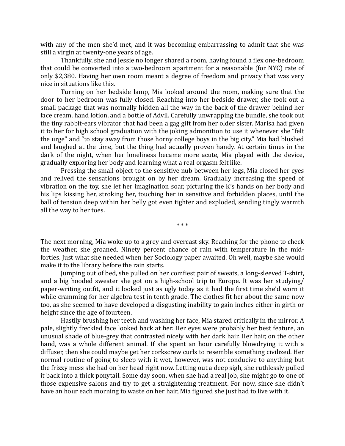with any of the men she'd met, and it was becoming embarrassing to admit that she was still a virgin at twenty-one years of age.

Thankfully, she and Jessie no longer shared a room, having found a flex one-bedroom that could be converted into a two-bedroom apartment for a reasonable (for NYC) rate of only \$2,380. Having her own room meant a degree of freedom and privacy that was very nice in situations like this.

Turning on her bedside lamp, Mia looked around the room, making sure that the door to her bedroom was fully closed. Reaching into her bedside drawer, she took out a small package that was normally hidden all the way in the back of the drawer behind her face cream, hand lotion, and a bottle of Advil. Carefully unwrapping the bundle, she took out the tiny rabbit-ears vibrator that had been a gag gift from her older sister. Marisa had given it to her for high school graduation with the joking admonition to use it whenever she "felt the urge" and "to stay away from those horny college boys in the big city." Mia had blushed and laughed at the time, but the thing had actually proven handy. At certain times in the dark of the night, when her loneliness became more acute, Mia played with the device, gradually exploring her body and learning what a real orgasm felt like.

Pressing the small object to the sensitive nub between her legs, Mia closed her eves and relived the sensations brought on by her dream. Gradually increasing the speed of vibration on the toy, she let her imagination soar, picturing the K's hands on her body and his lips kissing her, stroking her, touching her in sensitive and forbidden places, until the ball of tension deep within her belly got even tighter and exploded, sending tingly warmth all the way to her toes.

\* \* \*

The next morning, Mia woke up to a grey and overcast sky. Reaching for the phone to check the weather, she groaned. Ninety percent chance of rain with temperature in the midforties. Just what she needed when her Sociology paper awaited. Oh well, maybe she would make it to the library before the rain starts.

Jumping out of bed, she pulled on her comfiest pair of sweats, a long-sleeved T-shirt, and a big hooded sweater she got on a high-school trip to Europe. It was her studying/ paper-writing outfit, and it looked just as ugly today as it had the first time she'd worn it while cramming for her algebra test in tenth grade. The clothes fit her about the same now too, as she seemed to have developed a disgusting inability to gain inches either in girth or height since the age of fourteen.

Hastily brushing her teeth and washing her face, Mia stared critically in the mirror. A pale, slightly freckled face looked back at her. Her eyes were probably her best feature, an unusual shade of blue-grey that contrasted nicely with her dark hair. Her hair, on the other hand, was a whole different animal. If she spent an hour carefully blowdrying it with a diffuser, then she could maybe get her corkscrew curls to resemble something civilized. Her normal routine of going to sleep with it wet, however, was not conducive to anything but the frizzy mess she had on her head right now. Letting out a deep sigh, she ruthlessly pulled it back into a thick ponytail. Some day soon, when she had a real job, she might go to one of those expensive salons and try to get a straightening treatment. For now, since she didn't have an hour each morning to waste on her hair, Mia figured she just had to live with it.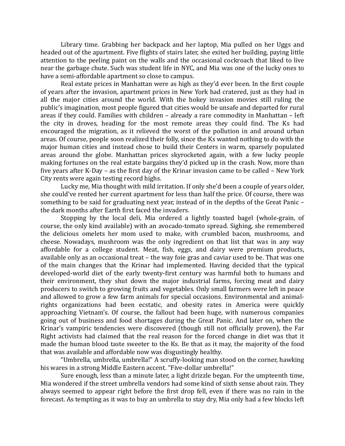Library time. Grabbing her backpack and her laptop, Mia pulled on her Uggs and headed out of the apartment. Five flights of stairs later, she exited her building, paying little attention to the peeling paint on the walls and the occasional cockroach that liked to live near the garbage chute. Such was student life in NYC, and Mia was one of the lucky ones to have a semi-affordable apartment so close to campus.

Real estate prices in Manhattan were as high as they'd ever been. In the first couple of years after the invasion, apartment prices in New York had cratered, just as they had in all the major cities around the world. With the hokey invasion movies still ruling the public's imagination, most people figured that cities would be unsafe and departed for rural areas if they could. Families with children  $-$  already a rare commodity in Manhattan  $-$  left the city in droves, heading for the most remote areas they could find. The Ks had encouraged the migration, as it relieved the worst of the pollution in and around urban areas. Of course, people soon realized their folly, since the Ks wanted nothing to do with the major human cities and instead chose to build their Centers in warm, sparsely populated areas around the globe. Manhattan prices skyrocketed again, with a few lucky people making fortunes on the real estate bargains they'd picked up in the crash. Now, more than five years after K-Day – as the first day of the Krinar invasion came to be called – New York City rents were again testing record highs.

Lucky me, Mia thought with mild irritation. If only she'd been a couple of years older, she could've rented her current apartment for less than half the price. Of course, there was something to be said for graduating next year, instead of in the depths of the Great Panic – the dark months after Earth first faced the invaders.

Stopping by the local deli, Mia ordered a lightly toasted bagel (whole-grain, of course, the only kind available) with an avocado-tomato spread. Sighing, she remembered the delicious omelets her mom used to make, with crumbled bacon, mushrooms, and cheese. Nowadays, mushroom was the only ingredient on that list that was in any way affordable for a college student. Meat, fish, eggs, and dairy were premium products, available only as an occasional treat – the way foie gras and caviar used to be. That was one of the main changes that the Krinar had implemented. Having decided that the typical developed-world diet of the early twenty-first century was harmful both to humans and their environment, they shut down the major industrial farms, forcing meat and dairy producers to switch to growing fruits and vegetables. Only small farmers were left in peace and allowed to grow a few farm animals for special occasions. Environmental and animalrights organizations had been ecstatic, and obesity rates in America were quickly approaching Vietnam's. Of course, the fallout had been huge, with numerous companies going out of business and food shortages during the Great Panic. And later on, when the Krinar's vampiric tendencies were discovered (though still not officially proven), the Far Right activists had claimed that the real reason for the forced change in diet was that it made the human blood taste sweeter to the Ks. Be that as it may, the majority of the food that was available and affordable now was disgustingly healthy.

"Umbrella, umbrella, umbrella!" A scruffy-looking man stood on the corner, hawking his wares in a strong Middle Eastern accent. "Five-dollar umbrella!"

Sure enough, less than a minute later, a light drizzle began. For the umpteenth time, Mia wondered if the street umbrella vendors had some kind of sixth sense about rain. They always seemed to appear right before the first drop fell, even if there was no rain in the forecast. As tempting as it was to buy an umbrella to stay dry, Mia only had a few blocks left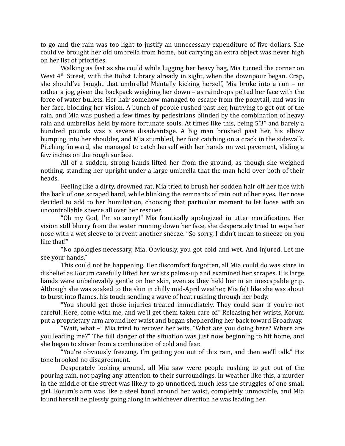to go and the rain was too light to justify an unnecessary expenditure of five dollars. She could've brought her old umbrella from home, but carrying an extra object was never high on her list of priorities.

Walking as fast as she could while lugging her heavy bag, Mia turned the corner on West  $4<sup>th</sup>$  Street, with the Bobst Library already in sight, when the downpour began. Crap, she should've bought that umbrella! Mentally kicking herself, Mia broke into a run – or rather a jog, given the backpack weighing her down – as raindrops pelted her face with the force of water bullets. Her hair somehow managed to escape from the ponytail, and was in her face, blocking her vision. A bunch of people rushed past her, hurrying to get out of the rain, and Mia was pushed a few times by pedestrians blinded by the combination of heavy rain and umbrellas held by more fortunate souls. At times like this, being 5'3" and barely a hundred pounds was a severe disadvantage. A big man brushed past her, his elbow bumping into her shoulder, and Mia stumbled, her foot catching on a crack in the sidewalk. Pitching forward, she managed to catch herself with her hands on wet pavement, sliding a few inches on the rough surface.

All of a sudden, strong hands lifted her from the ground, as though she weighed nothing, standing her upright under a large umbrella that the man held over both of their heads. 

Feeling like a dirty, drowned rat, Mia tried to brush her sodden hair off her face with the back of one scraped hand, while blinking the remnants of rain out of her eves. Her nose decided to add to her humiliation, choosing that particular moment to let loose with an uncontrollable sneeze all over her rescuer.

"Oh my God, I'm so sorry!" Mia frantically apologized in utter mortification. Her vision still blurry from the water running down her face, she desperately tried to wipe her nose with a wet sleeve to prevent another sneeze. "So sorry, I didn't mean to sneeze on you like that!"

"No apologies necessary, Mia. Obviously, you got cold and wet. And injured. Let me see your hands."

This could not be happening. Her discomfort forgotten, all Mia could do was stare in disbelief as Korum carefully lifted her wrists palms-up and examined her scrapes. His large hands were unbelievably gentle on her skin, even as they held her in an inescapable grip. Although she was soaked to the skin in chilly mid-April weather, Mia felt like she was about to burst into flames, his touch sending a wave of heat rushing through her body.

"You should get those injuries treated immediately. They could scar if you're not careful. Here, come with me, and we'll get them taken care of." Releasing her wrists, Korum put a proprietary arm around her waist and began shepherding her back toward Broadway.

"Wait, what -" Mia tried to recover her wits. "What are you doing here? Where are you leading me?" The full danger of the situation was just now beginning to hit home, and she began to shiver from a combination of cold and fear.

"You're obviously freezing. I'm getting you out of this rain, and then we'll talk." His tone brooked no disagreement.

Desperately looking around, all Mia saw were people rushing to get out of the pouring rain, not paying any attention to their surroundings. In weather like this, a murder in the middle of the street was likely to go unnoticed, much less the struggles of one small girl. Korum's arm was like a steel band around her waist, completely unmovable, and Mia found herself helplessly going along in whichever direction he was leading her.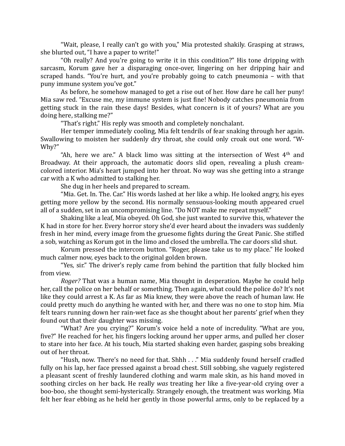"Wait, please, I really can't go with you," Mia protested shakily. Grasping at straws, she blurted out, "I have a paper to write!"

"Oh really? And you're going to write it in this condition?" His tone dripping with sarcasm, Korum gave her a disparaging once-over, lingering on her dripping hair and scraped hands. "You're hurt, and you're probably going to catch pneumonia  $-$  with that puny immune system you've got."

As before, he somehow managed to get a rise out of her. How dare he call her puny! Mia saw red. "Excuse me, my immune system is just fine! Nobody catches pneumonia from getting stuck in the rain these days! Besides, what concern is it of yours? What are you doing here, stalking me?"

"That's right." His reply was smooth and completely nonchalant.

Her temper immediately cooling, Mia felt tendrils of fear snaking through her again. Swallowing to moisten her suddenly dry throat, she could only croak out one word. "W-Why?"

"Ah, here we are." A black limo was sitting at the intersection of West  $4<sup>th</sup>$  and Broadway. At their approach, the automatic doors slid open, revealing a plush creamcolored interior. Mia's heart jumped into her throat. No way was she getting into a strange car with a K who admitted to stalking her.

She dug in her heels and prepared to scream.

"Mia. Get. In. The. Car." His words lashed at her like a whip. He looked angry, his eyes getting more yellow by the second. His normally sensuous-looking mouth appeared cruel all of a sudden, set in an uncompromising line. "Do NOT make me repeat myself."

Shaking like a leaf, Mia obeyed. Oh God, she just wanted to survive this, whatever the K had in store for her. Every horror story she'd ever heard about the invaders was suddenly fresh in her mind, every image from the gruesome fights during the Great Panic. She stifled a sob, watching as Korum got in the limo and closed the umbrella. The car doors slid shut.

Korum pressed the intercom button. "Roger, please take us to my place." He looked much calmer now, eves back to the original golden brown.

"Yes, sir." The driver's reply came from behind the partition that fully blocked him from view.

*Roger?* That was a human name, Mia thought in desperation. Maybe he could help her, call the police on her behalf or something. Then again, what could the police do? It's not like they could arrest a K. As far as Mia knew, they were above the reach of human law. He could pretty much do anything he wanted with her, and there was no one to stop him. Mia felt tears running down her rain-wet face as she thought about her parents' grief when they found out that their daughter was missing.

"What? Are you crying?" Korum's voice held a note of incredulity. "What are you, five?" He reached for her, his fingers locking around her upper arms, and pulled her closer to stare into her face. At his touch, Mia started shaking even harder, gasping sobs breaking out of her throat.

"Hush, now. There's no need for that. Shhh . . ." Mia suddenly found herself cradled fully on his lap, her face pressed against a broad chest. Still sobbing, she vaguely registered a pleasant scent of freshly laundered clothing and warm male skin, as his hand moved in soothing circles on her back. He really was treating her like a five-year-old crying over a boo-boo, she thought semi-hysterically. Strangely enough, the treatment was working. Mia felt her fear ebbing as he held her gently in those powerful arms, only to be replaced by a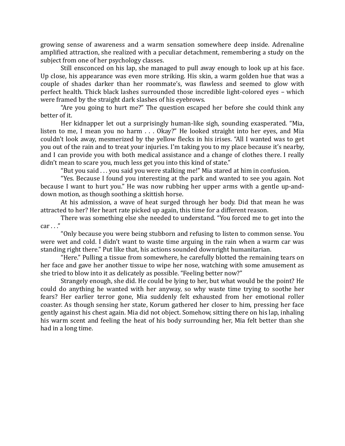growing sense of awareness and a warm sensation somewhere deep inside. Adrenaline amplified attraction, she realized with a peculiar detachment, remembering a study on the subject from one of her psychology classes.

Still ensconced on his lap, she managed to pull away enough to look up at his face. Up close, his appearance was even more striking. His skin, a warm golden hue that was a couple of shades darker than her roommate's, was flawless and seemed to glow with perfect health. Thick black lashes surrounded those incredible light-colored eyes – which were framed by the straight dark slashes of his eyebrows.

"Are you going to hurt me?" The question escaped her before she could think any better of it.

Her kidnapper let out a surprisingly human-like sigh, sounding exasperated. "Mia, listen to me, I mean you no harm . . . Okay?" He looked straight into her eyes, and Mia couldn't look away, mesmerized by the yellow flecks in his irises. "All I wanted was to get you out of the rain and to treat your injuries. I'm taking you to my place because it's nearby, and I can provide you with both medical assistance and a change of clothes there. I really didn't mean to scare you, much less get you into this kind of state."

"But you said  $\ldots$  you said you were stalking me!" Mia stared at him in confusion.

"Yes. Because I found you interesting at the park and wanted to see you again. Not because I want to hurt you." He was now rubbing her upper arms with a gentle up-anddown motion, as though soothing a skittish horse.

At his admission, a wave of heat surged through her body. Did that mean he was attracted to her? Her heart rate picked up again, this time for a different reason.

There was something else she needed to understand. "You forced me to get into the  $car \ldots$ "

"Only because you were being stubborn and refusing to listen to common sense. You were wet and cold. I didn't want to waste time arguing in the rain when a warm car was standing right there." Put like that, his actions sounded downright humanitarian.

"Here." Pulling a tissue from somewhere, he carefully blotted the remaining tears on her face and gave her another tissue to wipe her nose, watching with some amusement as she tried to blow into it as delicately as possible. "Feeling better now?"

Strangely enough, she did. He could be lying to her, but what would be the point? He could do anything he wanted with her anyway, so why waste time trying to soothe her fears? Her earlier terror gone, Mia suddenly felt exhausted from her emotional roller coaster. As though sensing her state, Korum gathered her closer to him, pressing her face gently against his chest again. Mia did not object. Somehow, sitting there on his lap, inhaling his warm scent and feeling the heat of his body surrounding her, Mia felt better than she had in a long time.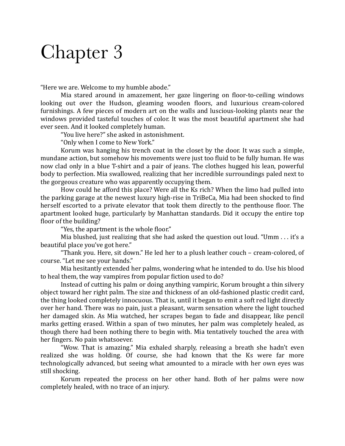### <span id="page-18-0"></span>Chapter 3

"Here we are. Welcome to my humble abode."

Mia stared around in amazement, her gaze lingering on floor-to-ceiling windows looking out over the Hudson, gleaming wooden floors, and luxurious cream-colored furnishings. A few pieces of modern art on the walls and luscious-looking plants near the windows provided tasteful touches of color. It was the most beautiful apartment she had ever seen. And it looked completely human.

"You live here?" she asked in astonishment.

"Only when I come to New York."

Korum was hanging his trench coat in the closet by the door. It was such a simple, mundane action, but somehow his movements were just too fluid to be fully human. He was now clad only in a blue T-shirt and a pair of jeans. The clothes hugged his lean, powerful body to perfection. Mia swallowed, realizing that her incredible surroundings paled next to the gorgeous creature who was apparently occupying them.

How could he afford this place? Were all the Ks rich? When the limo had pulled into the parking garage at the newest luxury high-rise in TriBeCa, Mia had been shocked to find herself escorted to a private elevator that took them directly to the penthouse floor. The apartment looked huge, particularly by Manhattan standards. Did it occupy the entire top floor of the building?

"Yes, the apartment is the whole floor."

Mia blushed, just realizing that she had asked the question out loud. "Umm  $\ldots$  it's a beautiful place you've got here."

"Thank you. Here, sit down." He led her to a plush leather couch - cream-colored, of course. "Let me see your hands."

Mia hesitantly extended her palms, wondering what he intended to do. Use his blood to heal them, the way vampires from popular fiction used to do?

Instead of cutting his palm or doing anything vampiric, Korum brought a thin silvery object toward her right palm. The size and thickness of an old-fashioned plastic credit card, the thing looked completely innocuous. That is, until it began to emit a soft red light directly over her hand. There was no pain, just a pleasant, warm sensation where the light touched her damaged skin. As Mia watched, her scrapes began to fade and disappear, like pencil marks getting erased. Within a span of two minutes, her palm was completely healed, as though there had been nothing there to begin with. Mia tentatively touched the area with her fingers. No pain whatsoever.

"Wow. That is amazing." Mia exhaled sharply, releasing a breath she hadn't even realized she was holding. Of course, she had known that the Ks were far more technologically advanced, but seeing what amounted to a miracle with her own eyes was still shocking.

Korum repeated the process on her other hand. Both of her palms were now completely healed, with no trace of an injury.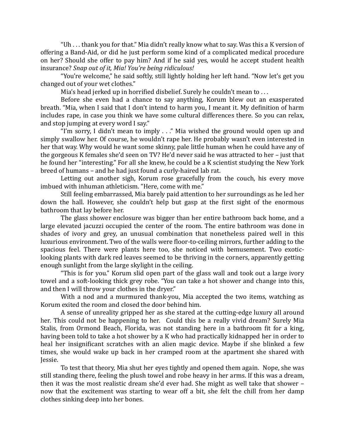"Uh ... thank you for that." Mia didn't really know what to say. Was this a K version of offering a Band-Aid, or did he just perform some kind of a complicated medical procedure on her? Should she offer to pay him? And if he said yes, would he accept student health insurance? *Snap out of it, Mia! You're being ridiculous!* 

"You're welcome," he said softly, still lightly holding her left hand. "Now let's get you changed out of your wet clothes."

Mia's head jerked up in horrified disbelief. Surely he couldn't mean to  $\dots$ 

Before she even had a chance to say anything, Korum blew out an exasperated breath. "Mia, when I said that I don't intend to harm you, I meant it. My definition of harm includes rape, in case you think we have some cultural differences there. So you can relax, and stop jumping at every word I say."

"I'm sorry, I didn't mean to imply  $\ldots$ ." Mia wished the ground would open up and simply swallow her. Of course, he wouldn't rape her. He probably wasn't even interested in her that way. Why would he want some skinny, pale little human when he could have any of the gorgeous K females she'd seen on TV? He'd never said he was attracted to her – just that he found her "interesting." For all she knew, he could be a K scientist studying the New York breed of humans – and he had just found a curly-haired lab rat.

Letting out another sigh, Korum rose gracefully from the couch, his every move imbued with inhuman athleticism. "Here, come with me."

Still feeling embarrassed, Mia barely paid attention to her surroundings as he led her down the hall. However, she couldn't help but gasp at the first sight of the enormous bathroom that lay before her.

The glass shower enclosure was bigger than her entire bathroom back home, and a large elevated jacuzzi occupied the center of the room. The entire bathroom was done in shades of ivory and grey, an unusual combination that nonetheless paired well in this luxurious environment. Two of the walls were floor-to-ceiling mirrors, further adding to the spacious feel. There were plants here too, she noticed with bemusement. Two exoticlooking plants with dark red leaves seemed to be thriving in the corners, apparently getting enough sunlight from the large skylight in the ceiling.

"This is for you." Korum slid open part of the glass wall and took out a large ivory towel and a soft-looking thick grey robe. "You can take a hot shower and change into this, and then I will throw your clothes in the dryer."

With a nod and a murmured thank-you, Mia accepted the two items, watching as Korum exited the room and closed the door behind him.

A sense of unreality gripped her as she stared at the cutting-edge luxury all around her. This could not be happening to her. Could this be a really vivid dream? Surely Mia Stalis, from Ormond Beach, Florida, was not standing here in a bathroom fit for a king, having been told to take a hot shower by a K who had practically kidnapped her in order to heal her insignificant scratches with an alien magic device. Maybe if she blinked a few times, she would wake up back in her cramped room at the apartment she shared with Jessie. 

To test that theory, Mia shut her eyes tightly and opened them again. Nope, she was still standing there, feeling the plush towel and robe heavy in her arms. If this was a dream, then it was the most realistic dream she'd ever had. She might as well take that shower now that the excitement was starting to wear off a bit, she felt the chill from her damp clothes sinking deep into her bones.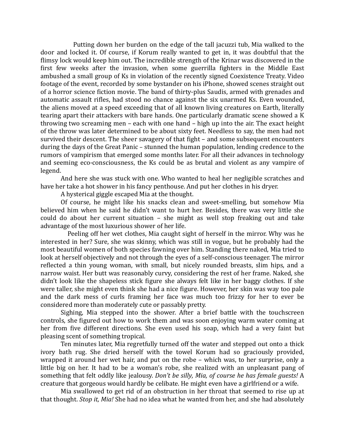Putting down her burden on the edge of the tall jacuzzi tub, Mia walked to the door and locked it. Of course, if Korum really wanted to get in, it was doubtful that the flimsy lock would keep him out. The incredible strength of the Krinar was discovered in the first few weeks after the invasion, when some guerrilla fighters in the Middle East ambushed a small group of Ks in violation of the recently signed Coexistence Treaty. Video footage of the event, recorded by some bystander on his iPhone, showed scenes straight out of a horror science fiction movie. The band of thirty-plus Saudis, armed with grenades and automatic assault rifles, had stood no chance against the six unarmed Ks. Even wounded, the aliens moved at a speed exceeding that of all known living creatures on Earth, literally tearing apart their attackers with bare hands. One particularly dramatic scene showed a K throwing two screaming men – each with one hand – high up into the air. The exact height of the throw was later determined to be about sixty feet. Needless to say, the men had not survived their descent. The sheer savagery of that fight – and some subsequent encounters during the days of the Great Panic – stunned the human population, lending credence to the rumors of vampirism that emerged some months later. For all their advances in technology and seeming eco-consciousness, the Ks could be as brutal and violent as any vampire of legend.

And here she was stuck with one. Who wanted to heal her negligible scratches and have her take a hot shower in his fancy penthouse. And put her clothes in his dryer.

A hysterical giggle escaped Mia at the thought.

Of course, he might like his snacks clean and sweet-smelling, but somehow Mia believed him when he said he didn't want to hurt her. Besides, there was very little she could do about her current situation  $-$  she might as well stop freaking out and take advantage of the most luxurious shower of her life.

Peeling off her wet clothes, Mia caught sight of herself in the mirror. Why was he interested in her? Sure, she was skinny, which was still in vogue, but he probably had the most beautiful women of both species fawning over him. Standing there naked, Mia tried to look at herself objectively and not through the eyes of a self-conscious teenager. The mirror reflected a thin young woman, with small, but nicely rounded breasts, slim hips, and a narrow waist. Her butt was reasonably curvy, considering the rest of her frame. Naked, she didn't look like the shapeless stick figure she always felt like in her baggy clothes. If she were taller, she might even think she had a nice figure. However, her skin was way too pale and the dark mess of curls framing her face was much too frizzy for her to ever be considered more than moderately cute or passably pretty.

Sighing, Mia stepped into the shower. After a brief battle with the touchscreen controls, she figured out how to work them and was soon enjoying warm water coming at her from five different directions. She even used his soap, which had a very faint but pleasing scent of something tropical.

Ten minutes later, Mia regretfully turned off the water and stepped out onto a thick ivory bath rug. She dried herself with the towel Korum had so graciously provided, wrapped it around her wet hair, and put on the robe – which was, to her surprise, only a little big on her. It had to be a woman's robe, she realized with an unpleasant pang of something that felt oddly like jealousy. *Don't be silly, Mia, of course he has female guests!* A creature that gorgeous would hardly be celibate. He might even have a girlfriend or a wife.

Mia swallowed to get rid of an obstruction in her throat that seemed to rise up at that thought. *Stop it, Mia!* She had no idea what he wanted from her, and she had absolutely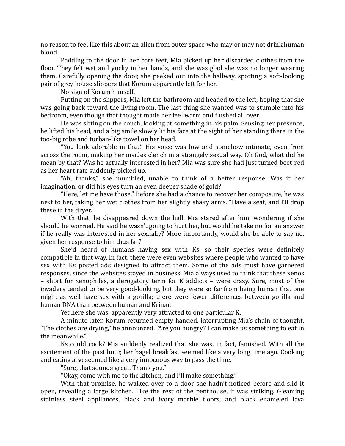no reason to feel like this about an alien from outer space who may or may not drink human blood. 

Padding to the door in her bare feet, Mia picked up her discarded clothes from the floor. They felt wet and yucky in her hands, and she was glad she was no longer wearing them. Carefully opening the door, she peeked out into the hallway, spotting a soft-looking pair of grey house slippers that Korum apparently left for her.

No sign of Korum himself.

Putting on the slippers, Mia left the bathroom and headed to the left, hoping that she was going back toward the living room. The last thing she wanted was to stumble into his bedroom, even though that thought made her feel warm and flushed all over.

He was sitting on the couch, looking at something in his palm. Sensing her presence, he lifted his head, and a big smile slowly lit his face at the sight of her standing there in the too-big robe and turban-like towel on her head.

"You look adorable in that." His voice was low and somehow intimate, even from across the room, making her insides clench in a strangely sexual way. Oh God, what did he mean by that? Was he actually interested in her? Mia was sure she had just turned beet-red as her heart rate suddenly picked up.

"Ah, thanks," she mumbled, unable to think of a better response. Was it her imagination, or did his eves turn an even deeper shade of gold?

"Here, let me have those." Before she had a chance to recover her composure, he was next to her, taking her wet clothes from her slightly shaky arms. "Have a seat, and I'll drop these in the dryer."

With that, he disappeared down the hall. Mia stared after him, wondering if she should be worried. He said he wasn't going to hurt her, but would he take no for an answer if he really was interested in her sexually? More importantly, would she be able to say no, given her response to him thus far?

She'd heard of humans having sex with Ks, so their species were definitely compatible in that way. In fact, there were even websites where people who wanted to have sex with Ks posted ads designed to attract them. Some of the ads must have garnered responses, since the websites stayed in business. Mia always used to think that these xenos – short for xenophiles, a derogatory term for K addicts – were crazy. Sure, most of the invaders tended to be very good-looking, but they were so far from being human that one might as well have sex with a gorilla; there were fewer differences between gorilla and human DNA than between human and Krinar.

Yet here she was, apparently very attracted to one particular K.

A minute later, Korum returned empty-handed, interrupting Mia's chain of thought. "The clothes are drying," he announced. "Are you hungry? I can make us something to eat in the meanwhile."

Ks could cook? Mia suddenly realized that she was, in fact, famished. With all the excitement of the past hour, her bagel breakfast seemed like a very long time ago. Cooking and eating also seemed like a very innocuous way to pass the time.

"Sure, that sounds great. Thank you."

"Okay, come with me to the kitchen, and I'll make something."

With that promise, he walked over to a door she hadn't noticed before and slid it open, revealing a large kitchen. Like the rest of the penthouse, it was striking. Gleaming stainless steel appliances, black and ivory marble floors, and black enameled lava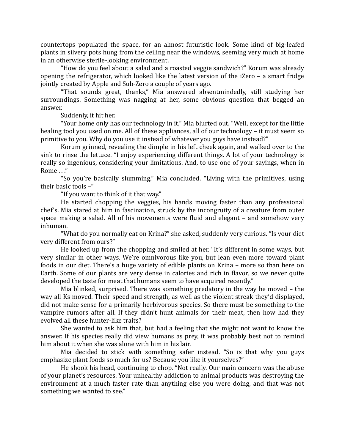countertops populated the space, for an almost futuristic look. Some kind of big-leafed plants in silvery pots hung from the ceiling near the windows, seeming very much at home in an otherwise sterile-looking environment.

"How do you feel about a salad and a roasted veggie sandwich?" Korum was already opening the refrigerator, which looked like the latest version of the iZero  $-$  a smart fridge jointly created by Apple and Sub-Zero a couple of years ago.

"That sounds great, thanks," Mia answered absentmindedly, still studying her surroundings. Something was nagging at her, some obvious question that begged an answer. 

Suddenly, it hit her.

"Your home only has our technology in it," Mia blurted out. "Well, except for the little healing tool you used on me. All of these appliances, all of our technology – it must seem so primitive to you. Why do you use it instead of whatever you guys have instead?"

Korum grinned, revealing the dimple in his left cheek again, and walked over to the sink to rinse the lettuce. "I enjoy experiencing different things. A lot of your technology is really so ingenious, considering your limitations. And, to use one of your sayings, when in Rome $\ldots$ "

"So you're basically slumming," Mia concluded. "Living with the primitives, using their basic tools -"

"If you want to think of it that way."

He started chopping the veggies, his hands moving faster than any professional chef's. Mia stared at him in fascination, struck by the incongruity of a creature from outer space making a salad. All of his movements were fluid and elegant  $-$  and somehow very inhuman. 

"What do you normally eat on Krina?" she asked, suddenly very curious. "Is your diet very different from ours?"

He looked up from the chopping and smiled at her. "It's different in some ways, but very similar in other ways. We're omnivorous like you, but lean even more toward plant foods in our diet. There's a huge variety of edible plants on Krina – more so than here on Earth. Some of our plants are very dense in calories and rich in flavor, so we never quite developed the taste for meat that humans seem to have acquired recently."

Mia blinked, surprised. There was something predatory in the way he moved  $-$  the way all Ks moved. Their speed and strength, as well as the violent streak they'd displayed, did not make sense for a primarily herbivorous species. So there must be something to the vampire rumors after all. If they didn't hunt animals for their meat, then how had they evolved all these hunter-like traits?

She wanted to ask him that, but had a feeling that she might not want to know the answer. If his species really did view humans as prey, it was probably best not to remind him about it when she was alone with him in his lair.

Mia decided to stick with something safer instead. "So is that why you guys emphasize plant foods so much for us? Because you like it yourselves?"

He shook his head, continuing to chop. "Not really. Our main concern was the abuse of your planet's resources. Your unhealthy addiction to animal products was destroying the environment at a much faster rate than anything else you were doing, and that was not something we wanted to see."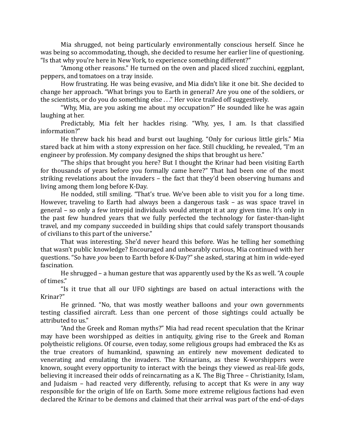Mia shrugged, not being particularly environmentally conscious herself. Since he was being so accommodating, though, she decided to resume her earlier line of questioning. "Is that why you're here in New York, to experience something different?"

"Among other reasons." He turned on the oven and placed sliced zucchini, eggplant, peppers, and tomatoes on a tray inside.

How frustrating. He was being evasive, and Mia didn't like it one bit. She decided to change her approach. "What brings you to Earth in general? Are you one of the soldiers, or the scientists, or do you do something else  $\ldots$ " Her voice trailed off suggestively.

"Why, Mia, are you asking me about my occupation?" He sounded like he was again laughing at her.

Predictably, Mia felt her hackles rising. "Why, yes, I am. Is that classified information?"

He threw back his head and burst out laughing. "Only for curious little girls." Mia stared back at him with a stony expression on her face. Still chuckling, he revealed, "I'm an engineer by profession. My company designed the ships that brought us here."

"The ships that brought you here? But I thought the Krinar had been visiting Earth for thousands of years before you formally came here?" That had been one of the most striking revelations about the invaders - the fact that they'd been observing humans and living among them long before K-Day.

He nodded, still smiling. "That's true. We've been able to visit you for a long time. However, traveling to Earth had always been a dangerous task  $-$  as was space travel in general – so only a few intrepid individuals would attempt it at any given time. It's only in the past few hundred years that we fully perfected the technology for faster-than-light travel, and my company succeeded in building ships that could safely transport thousands of civilians to this part of the universe."

That was interesting. She'd never heard this before. Was he telling her something that wasn't public knowledge? Encouraged and unbearably curious, Mia continued with her questions. "So have *you* been to Earth before K-Day?" she asked, staring at him in wide-eyed fascination.

He shrugged  $-$  a human gesture that was apparently used by the Ks as well. "A couple of times."

"Is it true that all our UFO sightings are based on actual interactions with the Krinar?"

He grinned. "No, that was mostly weather balloons and your own governments testing classified aircraft. Less than one percent of those sightings could actually be attributed to us."

"And the Greek and Roman myths?" Mia had read recent speculation that the Krinar may have been worshipped as deities in antiquity, giving rise to the Greek and Roman polytheistic religions. Of course, even today, some religious groups had embraced the Ks as the true creators of humankind, spawning an entirely new movement dedicated to venerating and emulating the invaders. The Krinarians, as these K-worshippers were known, sought every opportunity to interact with the beings they viewed as real-life gods, believing it increased their odds of reincarnating as a K. The Big Three  $-$  Christianity, Islam, and Judaism - had reacted very differently, refusing to accept that Ks were in any way responsible for the origin of life on Earth. Some more extreme religious factions had even declared the Krinar to be demons and claimed that their arrival was part of the end-of-days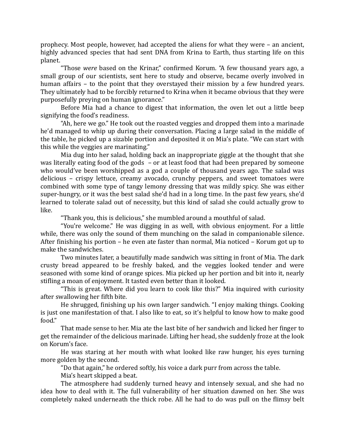prophecy. Most people, however, had accepted the aliens for what they were – an ancient, highly advanced species that had sent DNA from Krina to Earth, thus starting life on this planet.

"Those *were* based on the Krinar," confirmed Korum. "A few thousand years ago, a small group of our scientists, sent here to study and observe, became overly involved in human affairs – to the point that they overstayed their mission by a few hundred years. They ultimately had to be forcibly returned to Krina when it became obvious that they were purposefully preying on human ignorance."

Before Mia had a chance to digest that information, the oven let out a little beep signifying the food's readiness.

"Ah, here we go." He took out the roasted veggies and dropped them into a marinade he'd managed to whip up during their conversation. Placing a large salad in the middle of the table, he picked up a sizable portion and deposited it on Mia's plate. "We can start with this while the veggies are marinating."

Mia dug into her salad, holding back an inappropriate giggle at the thought that she was literally eating food of the gods  $-$  or at least food that had been prepared by someone who would've been worshipped as a god a couple of thousand vears ago. The salad was delicious – crispy lettuce, creamy avocado, crunchy peppers, and sweet tomatoes were combined with some type of tangy lemony dressing that was mildly spicy. She was either super-hungry, or it was the best salad she'd had in a long time. In the past few years, she'd learned to tolerate salad out of necessity, but this kind of salad she could actually grow to like. 

"Thank you, this is delicious," she mumbled around a mouthful of salad.

"You're welcome." He was digging in as well, with obvious enjoyment. For a little while, there was only the sound of them munching on the salad in companionable silence. After finishing his portion – he even ate faster than normal, Mia noticed – Korum got up to make the sandwiches.

Two minutes later, a beautifully made sandwich was sitting in front of Mia. The dark crusty bread appeared to be freshly baked, and the veggies looked tender and were seasoned with some kind of orange spices. Mia picked up her portion and bit into it, nearly stifling a moan of enjoyment. It tasted even better than it looked.

"This is great. Where did you learn to cook like this?" Mia inquired with curiosity after swallowing her fifth bite.

He shrugged, finishing up his own larger sandwich. "I enjoy making things. Cooking is just one manifestation of that. I also like to eat, so it's helpful to know how to make good food."

That made sense to her. Mia ate the last bite of her sandwich and licked her finger to get the remainder of the delicious marinade. Lifting her head, she suddenly froze at the look on Korum's face.

He was staring at her mouth with what looked like raw hunger, his eyes turning more golden by the second.

"Do that again," he ordered softly, his voice a dark purr from across the table.

Mia's heart skipped a beat.

The atmosphere had suddenly turned heavy and intensely sexual, and she had no idea how to deal with it. The full vulnerability of her situation dawned on her. She was completely naked underneath the thick robe. All he had to do was pull on the flimsy belt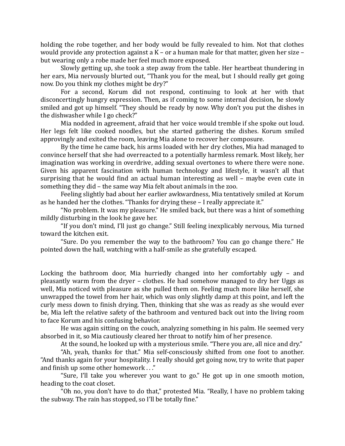holding the robe together, and her body would be fully revealed to him. Not that clothes would provide any protection against a  $K$  – or a human male for that matter, given her size – but wearing only a robe made her feel much more exposed.

Slowly getting up, she took a step away from the table. Her heartbeat thundering in her ears, Mia nervously blurted out, "Thank you for the meal, but I should really get going now. Do you think my clothes might be dry?"

For a second, Korum did not respond, continuing to look at her with that disconcertingly hungry expression. Then, as if coming to some internal decision, he slowly smiled and got up himself. "They should be ready by now. Why don't you put the dishes in the dishwasher while  $I$  go check?"

Mia nodded in agreement, afraid that her voice would tremble if she spoke out loud. Her legs felt like cooked noodles, but she started gathering the dishes. Korum smiled approvingly and exited the room, leaving Mia alone to recover her composure.

By the time he came back, his arms loaded with her dry clothes, Mia had managed to convince herself that she had overreacted to a potentially harmless remark. Most likely, her imagination was working in overdrive, adding sexual overtones to where there were none. Given his apparent fascination with human technology and lifestyle, it wasn't all that surprising that he would find an actual human interesting as well – maybe even cute in something they did – the same way Mia felt about animals in the zoo.

Feeling slightly bad about her earlier awkwardness, Mia tentatively smiled at Korum as he handed her the clothes. "Thanks for drying these - I really appreciate it."

"No problem. It was my pleasure." He smiled back, but there was a hint of something mildly disturbing in the look he gave her.

"If you don't mind, I'll just go change." Still feeling inexplicably nervous, Mia turned toward the kitchen exit.

"Sure. Do you remember the way to the bathroom? You can go change there." He pointed down the hall, watching with a half-smile as she gratefully escaped.

Locking the bathroom door, Mia hurriedly changed into her comfortably ugly  $-$  and pleasantly warm from the dryer – clothes. He had somehow managed to dry her Uggs as well, Mia noticed with pleasure as she pulled them on. Feeling much more like herself, she unwrapped the towel from her hair, which was only slightly damp at this point, and left the curly mess down to finish drying. Then, thinking that she was as ready as she would ever be, Mia left the relative safety of the bathroom and ventured back out into the living room to face Korum and his confusing behavior.

He was again sitting on the couch, analyzing something in his palm. He seemed very absorbed in it, so Mia cautiously cleared her throat to notify him of her presence.

At the sound, he looked up with a mysterious smile. "There you are, all nice and dry."

"Ah, yeah, thanks for that." Mia self-consciously shifted from one foot to another. "And thanks again for your hospitality. I really should get going now, try to write that paper and finish up some other homework . . ."

"Sure, I'll take you wherever you want to go." He got up in one smooth motion, heading to the coat closet.

"Oh no, you don't have to do that," protested Mia. "Really, I have no problem taking the subway. The rain has stopped, so I'll be totally fine."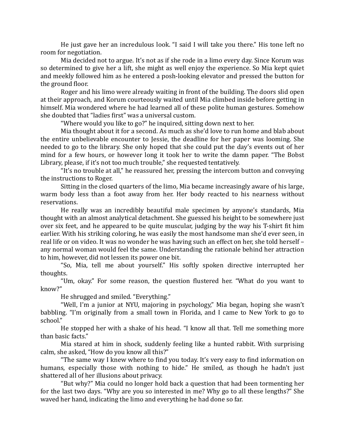He just gave her an incredulous look. "I said I will take you there." His tone left no room for negotiation.

Mia decided not to argue. It's not as if she rode in a limo every day. Since Korum was so determined to give her a lift, she might as well enjoy the experience. So Mia kept quiet and meekly followed him as he entered a posh-looking elevator and pressed the button for the ground floor.

Roger and his limo were already waiting in front of the building. The doors slid open at their approach, and Korum courteously waited until Mia climbed inside before getting in himself. Mia wondered where he had learned all of these polite human gestures. Somehow she doubted that "ladies first" was a universal custom.

"Where would you like to go?" he inquired, sitting down next to her.

Mia thought about it for a second. As much as she'd love to run home and blab about the entire unbelievable encounter to Jessie, the deadline for her paper was looming. She needed to go to the library. She only hoped that she could put the day's events out of her mind for a few hours, or however long it took her to write the damn paper. "The Bobst Library, please, if it's not too much trouble," she requested tentatively.

"It's no trouble at all," he reassured her, pressing the intercom button and conveying the instructions to Roger.

Sitting in the closed quarters of the limo, Mia became increasingly aware of his large, warm body less than a foot away from her. Her body reacted to his nearness without reservations. 

He really was an incredibly beautiful male specimen by anyone's standards, Mia thought with an almost analytical detachment. She guessed his height to be somewhere just over six feet, and he appeared to be quite muscular, judging by the way his T-shirt fit him earlier. With his striking coloring, he was easily the most handsome man she'd ever seen, in real life or on video. It was no wonder he was having such an effect on her, she told herself any normal woman would feel the same. Understanding the rationale behind her attraction to him, however, did not lessen its power one bit.

"So, Mia, tell me about yourself." His softly spoken directive interrupted her thoughts. 

"Um, okay." For some reason, the question flustered her. "What do you want to know?" 

He shrugged and smiled. "Everything."

"Well, I'm a junior at NYU, majoring in psychology," Mia began, hoping she wasn't babbling. "I'm originally from a small town in Florida, and I came to New York to go to school." 

He stopped her with a shake of his head. "I know all that. Tell me something more than basic facts."

Mia stared at him in shock, suddenly feeling like a hunted rabbit. With surprising calm, she asked, "How do you know all this?"

"The same way I knew where to find you today. It's very easy to find information on humans, especially those with nothing to hide." He smiled, as though he hadn't just shattered all of her illusions about privacy.

"But why?" Mia could no longer hold back a question that had been tormenting her for the last two days. "Why are you so interested in me? Why go to all these lengths?" She waved her hand, indicating the limo and everything he had done so far.